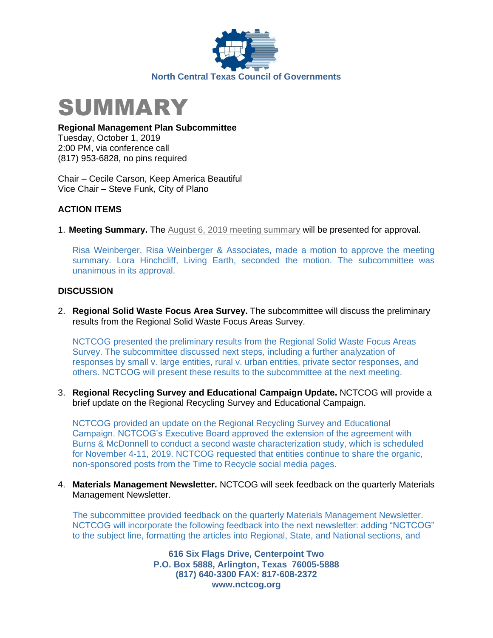



**Regional Management Plan Subcommittee**

Tuesday, October 1, 2019 2:00 PM, via conference call (817) 953-6828, no pins required

Chair – Cecile Carson, Keep America Beautiful Vice Chair – Steve Funk, City of Plano

## **ACTION ITEMS**

1. **Meeting Summary.** The [August 6, 2019 meeting summary](https://www.nctcog.org/nctcg/media/Environment-and-Development/Committee%20Documents/RCC-Regional%20Management%20Plan%20Sub/FY2019/2019-08-06_RMPS-Summary-w-Sign-Ins.pdf?ext=.pdf) will be presented for approval.

Risa Weinberger, Risa Weinberger & Associates, made a motion to approve the meeting summary. Lora Hinchcliff, Living Earth, seconded the motion. The subcommittee was unanimous in its approval.

## **DISCUSSION**

2. **Regional Solid Waste Focus Area Survey.** The subcommittee will discuss the preliminary results from the Regional Solid Waste Focus Areas Survey.

NCTCOG presented the preliminary results from the Regional Solid Waste Focus Areas Survey. The subcommittee discussed next steps, including a further analyzation of responses by small v. large entities, rural v. urban entities, private sector responses, and others. NCTCOG will present these results to the subcommittee at the next meeting.

3. **Regional Recycling Survey and Educational Campaign Update.** NCTCOG will provide a brief update on the Regional Recycling Survey and Educational Campaign.

NCTCOG provided an update on the Regional Recycling Survey and Educational Campaign. NCTCOG's Executive Board approved the extension of the agreement with Burns & McDonnell to conduct a second waste characterization study, which is scheduled for November 4-11, 2019. NCTCOG requested that entities continue to share the organic, non-sponsored posts from the Time to Recycle social media pages.

4. **Materials Management Newsletter.** NCTCOG will seek feedback on the quarterly Materials Management Newsletter.

The subcommittee provided feedback on the quarterly Materials Management Newsletter. NCTCOG will incorporate the following feedback into the next newsletter: adding "NCTCOG" to the subject line, formatting the articles into Regional, State, and National sections, and

> **616 Six Flags Drive, Centerpoint Two P.O. Box 5888, Arlington, Texas 76005-5888 (817) 640-3300 FAX: 817-608-2372 www.nctcog.org**